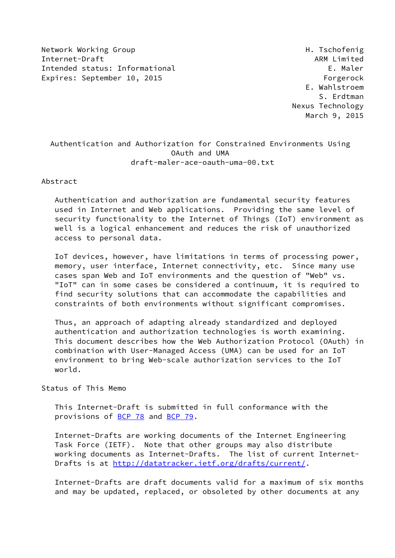Network Working Group Network Alexander Management of the H. Tschofenig Internet-Draft ARM Limited ARM Limited Intended status: Informational E. Maler Expires: September 10, 2015 Forgerock

 E. Wahlstroem S. Erdtman Nexus Technology March 9, 2015

## Authentication and Authorization for Constrained Environments Using OAuth and UMA draft-maler-ace-oauth-uma-00.txt

Abstract

 Authentication and authorization are fundamental security features used in Internet and Web applications. Providing the same level of security functionality to the Internet of Things (IoT) environment as well is a logical enhancement and reduces the risk of unauthorized access to personal data.

 IoT devices, however, have limitations in terms of processing power, memory, user interface, Internet connectivity, etc. Since many use cases span Web and IoT environments and the question of "Web" vs. "IoT" can in some cases be considered a continuum, it is required to find security solutions that can accommodate the capabilities and constraints of both environments without significant compromises.

 Thus, an approach of adapting already standardized and deployed authentication and authorization technologies is worth examining. This document describes how the Web Authorization Protocol (OAuth) in combination with User-Managed Access (UMA) can be used for an IoT environment to bring Web-scale authorization services to the IoT world.

Status of This Memo

 This Internet-Draft is submitted in full conformance with the provisions of [BCP 78](https://datatracker.ietf.org/doc/pdf/bcp78) and [BCP 79](https://datatracker.ietf.org/doc/pdf/bcp79).

 Internet-Drafts are working documents of the Internet Engineering Task Force (IETF). Note that other groups may also distribute working documents as Internet-Drafts. The list of current Internet- Drafts is at<http://datatracker.ietf.org/drafts/current/>.

 Internet-Drafts are draft documents valid for a maximum of six months and may be updated, replaced, or obsoleted by other documents at any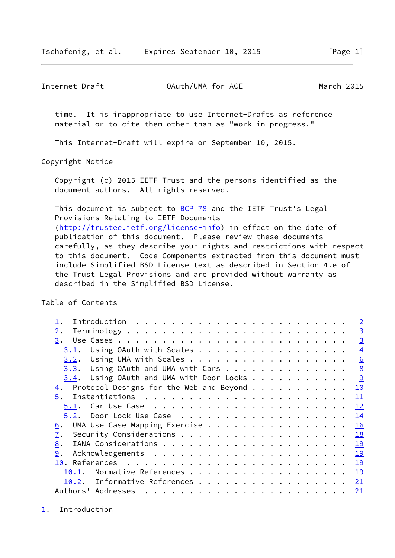<span id="page-1-1"></span>Internet-Draft OAuth/UMA for ACE March 2015

 time. It is inappropriate to use Internet-Drafts as reference material or to cite them other than as "work in progress."

This Internet-Draft will expire on September 10, 2015.

Copyright Notice

 Copyright (c) 2015 IETF Trust and the persons identified as the document authors. All rights reserved.

This document is subject to [BCP 78](https://datatracker.ietf.org/doc/pdf/bcp78) and the IETF Trust's Legal Provisions Relating to IETF Documents [\(http://trustee.ietf.org/license-info](http://trustee.ietf.org/license-info)) in effect on the date of publication of this document. Please review these documents carefully, as they describe your rights and restrictions with respect to this document. Code Components extracted from this document must include Simplified BSD License text as described in Section 4.e of the Trust Legal Provisions and are provided without warranty as described in the Simplified BSD License.

Table of Contents

|                                                                                                                                                                                                                                                                                                                                                                                                                                                                                                               | $\overline{2}$ |
|---------------------------------------------------------------------------------------------------------------------------------------------------------------------------------------------------------------------------------------------------------------------------------------------------------------------------------------------------------------------------------------------------------------------------------------------------------------------------------------------------------------|----------------|
| $2$ .                                                                                                                                                                                                                                                                                                                                                                                                                                                                                                         | $\overline{3}$ |
| 3.                                                                                                                                                                                                                                                                                                                                                                                                                                                                                                            | $\overline{3}$ |
| Using OAuth with Scales<br>3.1.                                                                                                                                                                                                                                                                                                                                                                                                                                                                               | $\overline{4}$ |
| 3.2.                                                                                                                                                                                                                                                                                                                                                                                                                                                                                                          | 6              |
| $3.3.$ Using OAuth and UMA with Cars                                                                                                                                                                                                                                                                                                                                                                                                                                                                          | 8              |
| $3.4.$ Using OAuth and UMA with Door Locks                                                                                                                                                                                                                                                                                                                                                                                                                                                                    | 9              |
| Protocol Designs for the Web and Beyond<br><u>4</u> .                                                                                                                                                                                                                                                                                                                                                                                                                                                         | 10             |
| 5.                                                                                                                                                                                                                                                                                                                                                                                                                                                                                                            | 11             |
| 5.1.                                                                                                                                                                                                                                                                                                                                                                                                                                                                                                          | 12             |
| 5.2.                                                                                                                                                                                                                                                                                                                                                                                                                                                                                                          | 14             |
| UMA Use Case Mapping Exercise<br>6.                                                                                                                                                                                                                                                                                                                                                                                                                                                                           | 16             |
| 7.                                                                                                                                                                                                                                                                                                                                                                                                                                                                                                            | 18             |
| 8.                                                                                                                                                                                                                                                                                                                                                                                                                                                                                                            |                |
| 9.                                                                                                                                                                                                                                                                                                                                                                                                                                                                                                            | 19             |
|                                                                                                                                                                                                                                                                                                                                                                                                                                                                                                               | 19             |
| Normative References<br>10.1.                                                                                                                                                                                                                                                                                                                                                                                                                                                                                 | 19             |
| Informative References<br>10.2.                                                                                                                                                                                                                                                                                                                                                                                                                                                                               | 21             |
| Authors' Addresses<br>$\mathbf{r}^{\mathsf{T}} \cdot \mathbf{r}^{\mathsf{T}} \cdot \mathbf{r}^{\mathsf{T}} \cdot \mathbf{r}^{\mathsf{T}} \cdot \mathbf{r}^{\mathsf{T}} \cdot \mathbf{r}^{\mathsf{T}} \cdot \mathbf{r}^{\mathsf{T}} \cdot \mathbf{r}^{\mathsf{T}} \cdot \mathbf{r}^{\mathsf{T}} \cdot \mathbf{r}^{\mathsf{T}} \cdot \mathbf{r}^{\mathsf{T}} \cdot \mathbf{r}^{\mathsf{T}} \cdot \mathbf{r}^{\mathsf{T}} \cdot \mathbf{r}^{\mathsf{T}} \cdot \mathbf{r}^{\mathsf{T}} \cdot \mathbf{r}^{\mathsf$ | <u>21</u>      |

<span id="page-1-0"></span>[1](#page-1-0). Introduction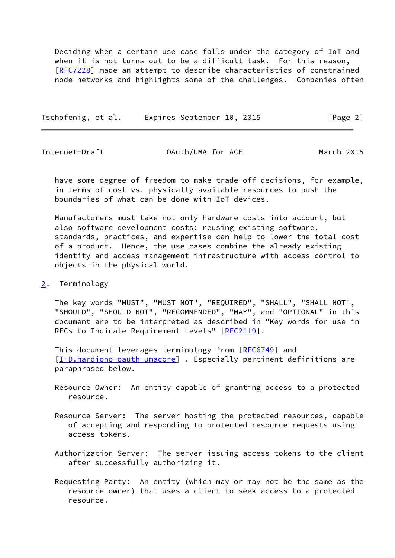Deciding when a certain use case falls under the category of IoT and when it is not turns out to be a difficult task. For this reason, [\[RFC7228](https://datatracker.ietf.org/doc/pdf/rfc7228)] made an attempt to describe characteristics of constrained node networks and highlights some of the challenges. Companies often

Tschofenig, et al. Expires September 10, 2015 [Page 2]

<span id="page-2-1"></span>Internet-Draft OAuth/UMA for ACE March 2015

 have some degree of freedom to make trade-off decisions, for example, in terms of cost vs. physically available resources to push the boundaries of what can be done with IoT devices.

 Manufacturers must take not only hardware costs into account, but also software development costs; reusing existing software, standards, practices, and expertise can help to lower the total cost of a product. Hence, the use cases combine the already existing identity and access management infrastructure with access control to objects in the physical world.

<span id="page-2-0"></span>[2](#page-2-0). Terminology

 The key words "MUST", "MUST NOT", "REQUIRED", "SHALL", "SHALL NOT", "SHOULD", "SHOULD NOT", "RECOMMENDED", "MAY", and "OPTIONAL" in this document are to be interpreted as described in "Key words for use in RFCs to Indicate Requirement Levels" [\[RFC2119](https://datatracker.ietf.org/doc/pdf/rfc2119)].

This document leverages terminology from [\[RFC6749](https://datatracker.ietf.org/doc/pdf/rfc6749)] and [\[I-D.hardjono-oauth-umacore\]](#page-21-2) . Especially pertinent definitions are paraphrased below.

- Resource Owner: An entity capable of granting access to a protected resource.
- Resource Server: The server hosting the protected resources, capable of accepting and responding to protected resource requests using access tokens.
- Authorization Server: The server issuing access tokens to the client after successfully authorizing it.
- Requesting Party: An entity (which may or may not be the same as the resource owner) that uses a client to seek access to a protected resource.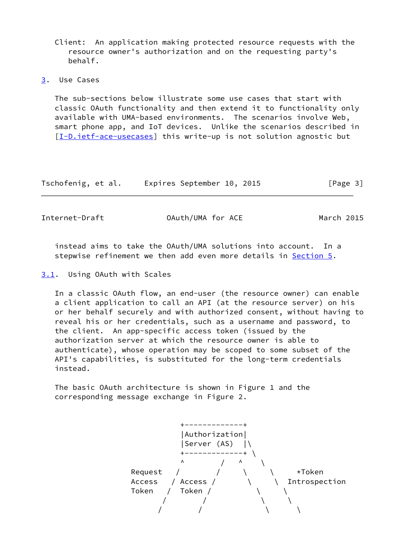Client: An application making protected resource requests with the resource owner's authorization and on the requesting party's behalf.

<span id="page-3-0"></span>[3](#page-3-0). Use Cases

 The sub-sections below illustrate some use cases that start with classic OAuth functionality and then extend it to functionality only available with UMA-based environments. The scenarios involve Web, smart phone app, and IoT devices. Unlike the scenarios described in [\[I-D.ietf-ace-usecases](#page-23-0)] this write-up is not solution agnostic but

| Tschofenig, et al. | Expires September 10, 2015 |  | [Page 3] |
|--------------------|----------------------------|--|----------|
|--------------------|----------------------------|--|----------|

<span id="page-3-2"></span>Internet-Draft OAuth/UMA for ACE March 2015

 instead aims to take the OAuth/UMA solutions into account. In a stepwise refinement we then add even more details in [Section 5](#page-11-0).

<span id="page-3-1"></span>[3.1](#page-3-1). Using OAuth with Scales

 In a classic OAuth flow, an end-user (the resource owner) can enable a client application to call an API (at the resource server) on his or her behalf securely and with authorized consent, without having to reveal his or her credentials, such as a username and password, to the client. An app-specific access token (issued by the authorization server at which the resource owner is able to authenticate), whose operation may be scoped to some subset of the API's capabilities, is substituted for the long-term credentials instead.

 The basic OAuth architecture is shown in Figure 1 and the corresponding message exchange in Figure 2.

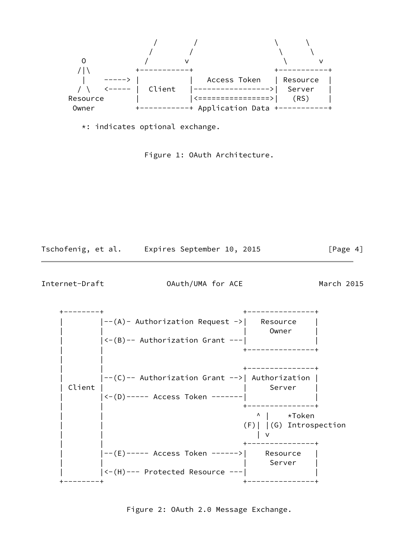

\*: indicates optional exchange.

Figure 1: OAuth Architecture.

| Tschofenig, et al. |  | Expires September 10, 2015 |  |  | [Page 4] |
|--------------------|--|----------------------------|--|--|----------|
|--------------------|--|----------------------------|--|--|----------|

Internet-Draft OAuth/UMA for ACE March 2015

 +--------+ +---------------+  $|--(A)-$  Authorization Request  $->$  | Resource | | | Owner |  $| \langle - (B) - -$  Authorization Grant  $---|$  | | +---------------+ | | | | +---------------+ | |--(C)-- Authorization Grant -->| Authorization | | Client | Server | Server | Server | Server | Server | Server | Server | Server | Server | Server | Server | Server | Server | Server | Server | Server | Server | Server | Server | Server | Server | Server | Server | Serv | |<-(D)----- Access Token -------| | | | +---------------+ | | ^ | \*Token | | (F)| |(G) Introspection | | | v | | +---------------+ | |--(E)----- Access Token ------>| Resource | | | | Server |  $|\langle -(H)---$  Protected Resource  $---|$ +--------+ +---------------+

Figure 2: OAuth 2.0 Message Exchange.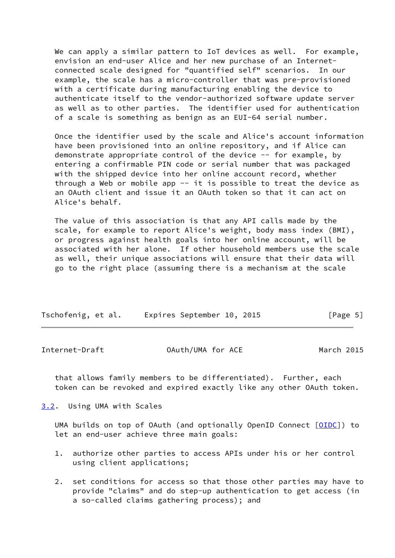We can apply a similar pattern to IoT devices as well. For example, envision an end-user Alice and her new purchase of an Internet connected scale designed for "quantified self" scenarios. In our example, the scale has a micro-controller that was pre-provisioned with a certificate during manufacturing enabling the device to authenticate itself to the vendor-authorized software update server as well as to other parties. The identifier used for authentication of a scale is something as benign as an EUI-64 serial number.

 Once the identifier used by the scale and Alice's account information have been provisioned into an online repository, and if Alice can demonstrate appropriate control of the device -- for example, by entering a confirmable PIN code or serial number that was packaged with the shipped device into her online account record, whether through a Web or mobile app  $-$  it is possible to treat the device as an OAuth client and issue it an OAuth token so that it can act on Alice's behalf.

 The value of this association is that any API calls made by the scale, for example to report Alice's weight, body mass index (BMI), or progress against health goals into her online account, will be associated with her alone. If other household members use the scale as well, their unique associations will ensure that their data will go to the right place (assuming there is a mechanism at the scale

| Tschofenig, et al. |  | Expires September 10, 2015 |  | [Page 5] |  |
|--------------------|--|----------------------------|--|----------|--|
|                    |  |                            |  |          |  |

<span id="page-5-1"></span>Internet-Draft OAuth/UMA for ACE March 2015

 that allows family members to be differentiated). Further, each token can be revoked and expired exactly like any other OAuth token.

<span id="page-5-0"></span>[3.2](#page-5-0). Using UMA with Scales

UMA builds on top of OAuth (and optionally OpenID Connect [[OIDC\]](#page-22-2)) to let an end-user achieve three main goals:

- 1. authorize other parties to access APIs under his or her control using client applications;
- 2. set conditions for access so that those other parties may have to provide "claims" and do step-up authentication to get access (in a so-called claims gathering process); and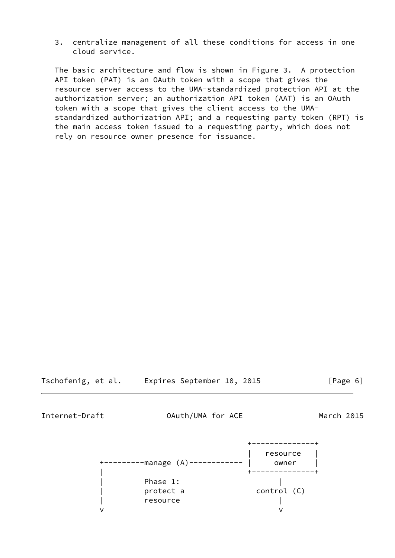3. centralize management of all these conditions for access in one cloud service.

 The basic architecture and flow is shown in Figure 3. A protection API token (PAT) is an OAuth token with a scope that gives the resource server access to the UMA-standardized protection API at the authorization server; an authorization API token (AAT) is an OAuth token with a scope that gives the client access to the UMA standardized authorization API; and a requesting party token (RPT) is the main access token issued to a requesting party, which does not rely on resource owner presence for issuance.

Tschofenig, et al. Expires September 10, 2015 [Page 6]

Internet-Draft OAuth/UMA for ACE March 2015

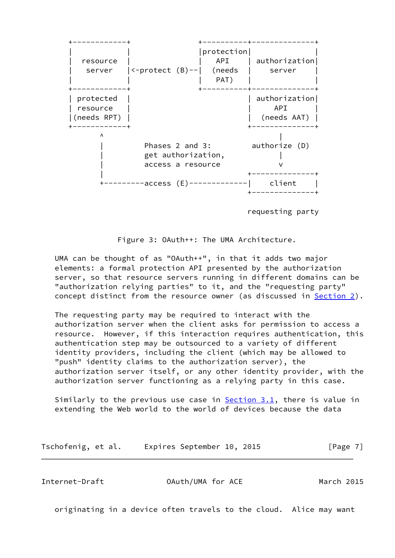

requesting party

Figure 3: OAuth++: The UMA Architecture.

 UMA can be thought of as "OAuth++", in that it adds two major elements: a formal protection API presented by the authorization server, so that resource servers running in different domains can be "authorization relying parties" to it, and the "requesting party" concept distinct from the resource owner (as discussed in **Section 2**).

 The requesting party may be required to interact with the authorization server when the client asks for permission to access a resource. However, if this interaction requires authentication, this authentication step may be outsourced to a variety of different identity providers, including the client (which may be allowed to "push" identity claims to the authorization server), the authorization server itself, or any other identity provider, with the authorization server functioning as a relying party in this case.

Similarly to the previous use case in **Section 3.1**, there is value in extending the Web world to the world of devices because the data

Tschofenig, et al. Expires September 10, 2015 [Page 7]

<span id="page-7-0"></span>Internet-Draft OAuth/UMA for ACE March 2015

originating in a device often travels to the cloud. Alice may want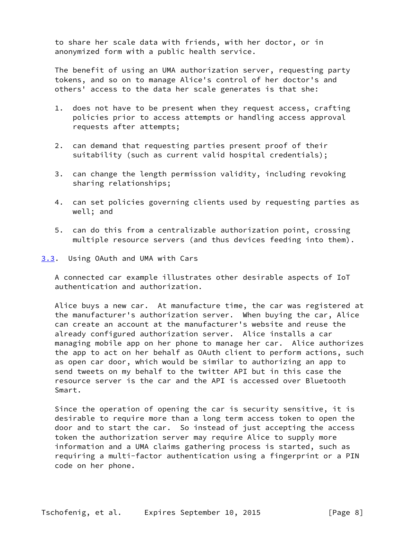to share her scale data with friends, with her doctor, or in anonymized form with a public health service.

 The benefit of using an UMA authorization server, requesting party tokens, and so on to manage Alice's control of her doctor's and others' access to the data her scale generates is that she:

- 1. does not have to be present when they request access, crafting policies prior to access attempts or handling access approval requests after attempts;
- 2. can demand that requesting parties present proof of their suitability (such as current valid hospital credentials);
- 3. can change the length permission validity, including revoking sharing relationships;
- 4. can set policies governing clients used by requesting parties as well; and
- 5. can do this from a centralizable authorization point, crossing multiple resource servers (and thus devices feeding into them).
- <span id="page-8-0"></span>[3.3](#page-8-0). Using OAuth and UMA with Cars

 A connected car example illustrates other desirable aspects of IoT authentication and authorization.

 Alice buys a new car. At manufacture time, the car was registered at the manufacturer's authorization server. When buying the car, Alice can create an account at the manufacturer's website and reuse the already configured authorization server. Alice installs a car managing mobile app on her phone to manage her car. Alice authorizes the app to act on her behalf as OAuth client to perform actions, such as open car door, which would be similar to authorizing an app to send tweets on my behalf to the twitter API but in this case the resource server is the car and the API is accessed over Bluetooth Smart.

 Since the operation of opening the car is security sensitive, it is desirable to require more than a long term access token to open the door and to start the car. So instead of just accepting the access token the authorization server may require Alice to supply more information and a UMA claims gathering process is started, such as requiring a multi-factor authentication using a fingerprint or a PIN code on her phone.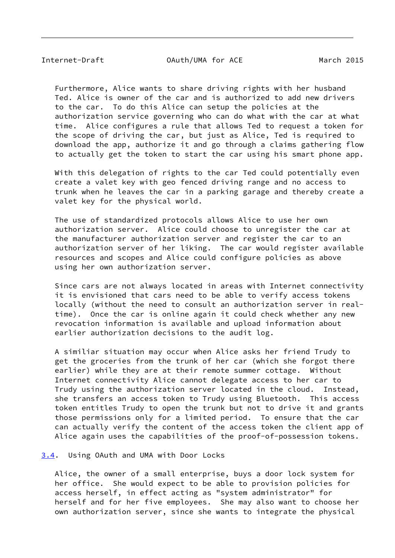<span id="page-9-1"></span>Internet-Draft OAuth/UMA for ACE March 2015

 Furthermore, Alice wants to share driving rights with her husband Ted. Alice is owner of the car and is authorized to add new drivers to the car. To do this Alice can setup the policies at the authorization service governing who can do what with the car at what time. Alice configures a rule that allows Ted to request a token for the scope of driving the car, but just as Alice, Ted is required to download the app, authorize it and go through a claims gathering flow to actually get the token to start the car using his smart phone app.

 With this delegation of rights to the car Ted could potentially even create a valet key with geo fenced driving range and no access to trunk when he leaves the car in a parking garage and thereby create a valet key for the physical world.

 The use of standardized protocols allows Alice to use her own authorization server. Alice could choose to unregister the car at the manufacturer authorization server and register the car to an authorization server of her liking. The car would register available resources and scopes and Alice could configure policies as above using her own authorization server.

 Since cars are not always located in areas with Internet connectivity it is envisioned that cars need to be able to verify access tokens locally (without the need to consult an authorization server in real time). Once the car is online again it could check whether any new revocation information is available and upload information about earlier authorization decisions to the audit log.

 A similiar situation may occur when Alice asks her friend Trudy to get the groceries from the trunk of her car (which she forgot there earlier) while they are at their remote summer cottage. Without Internet connectivity Alice cannot delegate access to her car to Trudy using the authorization server located in the cloud. Instead, she transfers an access token to Trudy using Bluetooth. This access token entitles Trudy to open the trunk but not to drive it and grants those permissions only for a limited period. To ensure that the car can actually verify the content of the access token the client app of Alice again uses the capabilities of the proof-of-possession tokens.

## <span id="page-9-0"></span>[3.4](#page-9-0). Using OAuth and UMA with Door Locks

 Alice, the owner of a small enterprise, buys a door lock system for her office. She would expect to be able to provision policies for access herself, in effect acting as "system administrator" for herself and for her five employees. She may also want to choose her own authorization server, since she wants to integrate the physical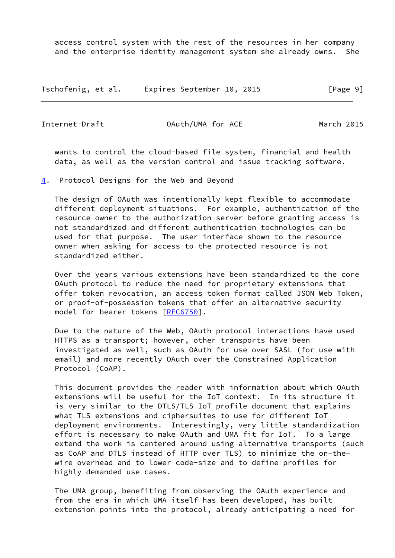access control system with the rest of the resources in her company and the enterprise identity management system she already owns. She

Tschofenig, et al. Expires September 10, 2015 [Page 9]

<span id="page-10-1"></span>

Internet-Draft OAuth/UMA for ACE March 2015

 wants to control the cloud-based file system, financial and health data, as well as the version control and issue tracking software.

<span id="page-10-0"></span>[4](#page-10-0). Protocol Designs for the Web and Beyond

 The design of OAuth was intentionally kept flexible to accommodate different deployment situations. For example, authentication of the resource owner to the authorization server before granting access is not standardized and different authentication technologies can be used for that purpose. The user interface shown to the resource owner when asking for access to the protected resource is not standardized either.

 Over the years various extensions have been standardized to the core OAuth protocol to reduce the need for proprietary extensions that offer token revocation, an access token format called JSON Web Token, or proof-of-possession tokens that offer an alternative security model for bearer tokens [\[RFC6750](https://datatracker.ietf.org/doc/pdf/rfc6750)].

 Due to the nature of the Web, OAuth protocol interactions have used HTTPS as a transport; however, other transports have been investigated as well, such as OAuth for use over SASL (for use with email) and more recently OAuth over the Constrained Application Protocol (CoAP).

 This document provides the reader with information about which OAuth extensions will be useful for the IoT context. In its structure it is very similar to the DTLS/TLS IoT profile document that explains what TLS extensions and ciphersuites to use for different IoT deployment environments. Interestingly, very little standardization effort is necessary to make OAuth and UMA fit for IoT. To a large extend the work is centered around using alternative transports (such as CoAP and DTLS instead of HTTP over TLS) to minimize the on-the wire overhead and to lower code-size and to define profiles for highly demanded use cases.

 The UMA group, benefiting from observing the OAuth experience and from the era in which UMA itself has been developed, has built extension points into the protocol, already anticipating a need for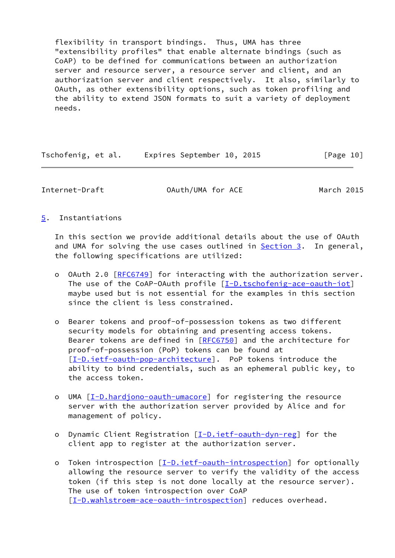flexibility in transport bindings. Thus, UMA has three "extensibility profiles" that enable alternate bindings (such as CoAP) to be defined for communications between an authorization server and resource server, a resource server and client, and an authorization server and client respectively. It also, similarly to OAuth, as other extensibility options, such as token profiling and the ability to extend JSON formats to suit a variety of deployment needs.

| Tschofenig, et al. | Expires September 10, 2015 | [Page 10] |
|--------------------|----------------------------|-----------|
|--------------------|----------------------------|-----------|

<span id="page-11-1"></span>Internet-Draft OAuth/UMA for ACE March 2015

<span id="page-11-0"></span>[5](#page-11-0). Instantiations

 In this section we provide additional details about the use of OAuth and UMA for solving the use cases outlined in [Section 3.](#page-3-0) In general, the following specifications are utilized:

- o OAuth 2.0 [\[RFC6749](https://datatracker.ietf.org/doc/pdf/rfc6749)] for interacting with the authorization server. The use of the CoAP-OAuth profile [\[I-D.tschofenig-ace-oauth-iot](#page-22-3)] maybe used but is not essential for the examples in this section since the client is less constrained.
- o Bearer tokens and proof-of-possession tokens as two different security models for obtaining and presenting access tokens. Bearer tokens are defined in [\[RFC6750](https://datatracker.ietf.org/doc/pdf/rfc6750)] and the architecture for proof-of-possession (PoP) tokens can be found at [[I-D.ietf-oauth-pop-architecture\]](#page-21-3). PoP tokens introduce the ability to bind credentials, such as an ephemeral public key, to the access token.
- o UMA [\[I-D.hardjono-oauth-umacore](#page-21-2)] for registering the resource server with the authorization server provided by Alice and for management of policy.
- o Dynamic Client Registration [\[I-D.ietf-oauth-dyn-reg](#page-21-4)] for the client app to register at the authorization server.
- o Token introspection [\[I-D.ietf-oauth-introspection](#page-21-5)] for optionally allowing the resource server to verify the validity of the access token (if this step is not done locally at the resource server). The use of token introspection over CoAP [[I-D.wahlstroem-ace-oauth-introspection](#page-22-4)] reduces overhead.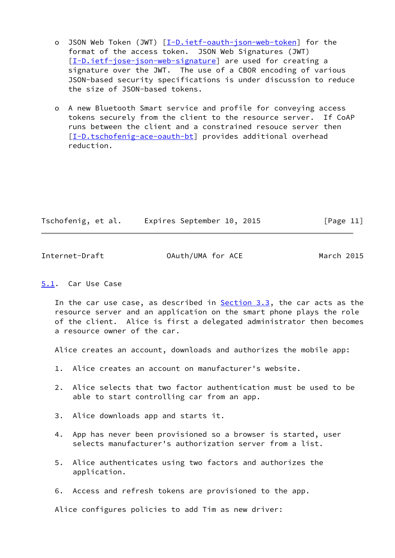- o JSON Web Token (JWT) [\[I-D.ietf-oauth-json-web-token](#page-21-6)] for the format of the access token. JSON Web Signatures (JWT) [[I-D.ietf-jose-json-web-signature\]](#page-21-7) are used for creating a signature over the JWT. The use of a CBOR encoding of various JSON-based security specifications is under discussion to reduce the size of JSON-based tokens.
- o A new Bluetooth Smart service and profile for conveying access tokens securely from the client to the resource server. If CoAP runs between the client and a constrained resouce server then [[I-D.tschofenig-ace-oauth-bt\]](#page-22-5) provides additional overhead reduction.

| Tschofenig, et al. | Expires September 10, 2015 |  | [Page 11] |
|--------------------|----------------------------|--|-----------|
|                    |                            |  |           |

<span id="page-12-1"></span>Internet-Draft OAuth/UMA for ACE March 2015

## <span id="page-12-0"></span>[5.1](#page-12-0). Car Use Case

In the car use case, as described in **Section 3.3**, the car acts as the resource server and an application on the smart phone plays the role of the client. Alice is first a delegated administrator then becomes a resource owner of the car.

Alice creates an account, downloads and authorizes the mobile app:

- 1. Alice creates an account on manufacturer's website.
- 2. Alice selects that two factor authentication must be used to be able to start controlling car from an app.
- 3. Alice downloads app and starts it.
- 4. App has never been provisioned so a browser is started, user selects manufacturer's authorization server from a list.
- 5. Alice authenticates using two factors and authorizes the application.
- 6. Access and refresh tokens are provisioned to the app.

Alice configures policies to add Tim as new driver: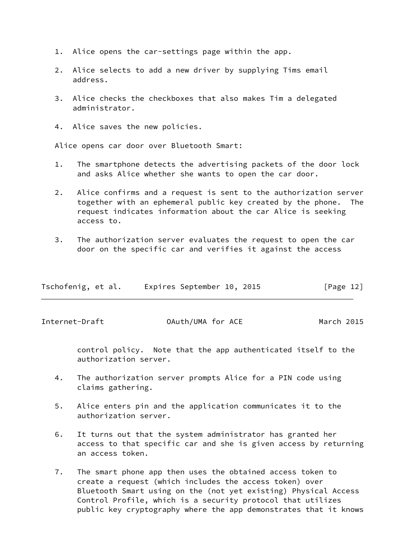- 1. Alice opens the car-settings page within the app.
- 2. Alice selects to add a new driver by supplying Tims email address.
- 3. Alice checks the checkboxes that also makes Tim a delegated administrator.
- 4. Alice saves the new policies.

Alice opens car door over Bluetooth Smart:

- 1. The smartphone detects the advertising packets of the door lock and asks Alice whether she wants to open the car door.
- 2. Alice confirms and a request is sent to the authorization server together with an ephemeral public key created by the phone. The request indicates information about the car Alice is seeking access to.
- 3. The authorization server evaluates the request to open the car door on the specific car and verifies it against the access

| Tschofenig, et al. | Expires September 10, 2015 | [Page 12] |
|--------------------|----------------------------|-----------|
|--------------------|----------------------------|-----------|

Internet-Draft OAuth/UMA for ACE March 2015

 control policy. Note that the app authenticated itself to the authorization server.

- 4. The authorization server prompts Alice for a PIN code using claims gathering.
- 5. Alice enters pin and the application communicates it to the authorization server.
- 6. It turns out that the system administrator has granted her access to that specific car and she is given access by returning an access token.
- 7. The smart phone app then uses the obtained access token to create a request (which includes the access token) over Bluetooth Smart using on the (not yet existing) Physical Access Control Profile, which is a security protocol that utilizes public key cryptography where the app demonstrates that it knows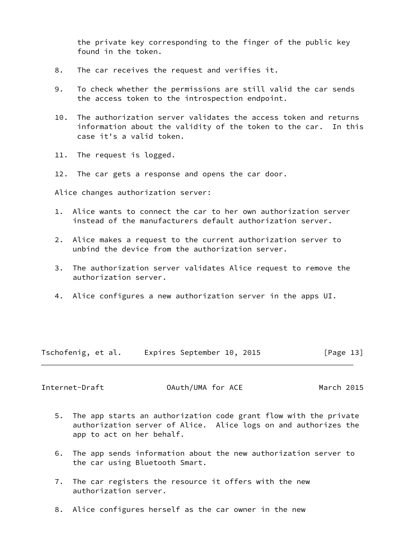the private key corresponding to the finger of the public key found in the token.

- 8. The car receives the request and verifies it.
- 9. To check whether the permissions are still valid the car sends the access token to the introspection endpoint.
- 10. The authorization server validates the access token and returns information about the validity of the token to the car. In this case it's a valid token.
- 11. The request is logged.
- 12. The car gets a response and opens the car door.

Alice changes authorization server:

- 1. Alice wants to connect the car to her own authorization server instead of the manufacturers default authorization server.
- 2. Alice makes a request to the current authorization server to unbind the device from the authorization server.
- 3. The authorization server validates Alice request to remove the authorization server.
- 4. Alice configures a new authorization server in the apps UI.

Tschofenig, et al. Expires September 10, 2015 [Page 13]

<span id="page-14-0"></span>Internet-Draft OAuth/UMA for ACE March 2015

- 5. The app starts an authorization code grant flow with the private authorization server of Alice. Alice logs on and authorizes the app to act on her behalf.
- 6. The app sends information about the new authorization server to the car using Bluetooth Smart.
- 7. The car registers the resource it offers with the new authorization server.
- 8. Alice configures herself as the car owner in the new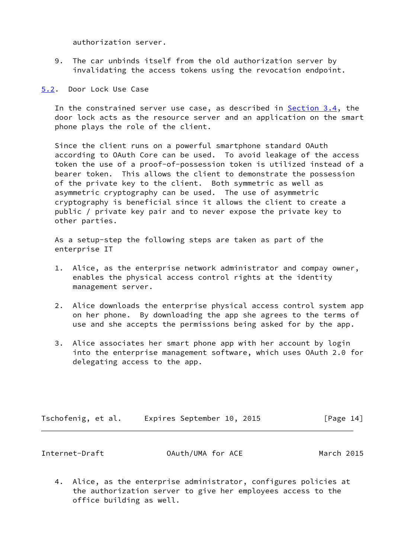authorization server.

- 9. The car unbinds itself from the old authorization server by invalidating the access tokens using the revocation endpoint.
- <span id="page-15-0"></span>[5.2](#page-15-0). Door Lock Use Case

 In the constrained server use case, as described in [Section 3.4,](#page-9-0) the door lock acts as the resource server and an application on the smart phone plays the role of the client.

 Since the client runs on a powerful smartphone standard OAuth according to OAuth Core can be used. To avoid leakage of the access token the use of a proof-of-possession token is utilized instead of a bearer token. This allows the client to demonstrate the possession of the private key to the client. Both symmetric as well as asymmetric cryptography can be used. The use of asymmetric cryptography is beneficial since it allows the client to create a public / private key pair and to never expose the private key to other parties.

 As a setup-step the following steps are taken as part of the enterprise IT

- 1. Alice, as the enterprise network administrator and compay owner, enables the physical access control rights at the identity management server.
- 2. Alice downloads the enterprise physical access control system app on her phone. By downloading the app she agrees to the terms of use and she accepts the permissions being asked for by the app.
- 3. Alice associates her smart phone app with her account by login into the enterprise management software, which uses OAuth 2.0 for delegating access to the app.

| Tschofenig, et al. | Expires September 10, 2015 |  | [Page 14] |
|--------------------|----------------------------|--|-----------|
|--------------------|----------------------------|--|-----------|

|  | Internet-Draft | OAuth/UMA for ACE | March 2015 |
|--|----------------|-------------------|------------|
|--|----------------|-------------------|------------|

 4. Alice, as the enterprise administrator, configures policies at the authorization server to give her employees access to the office building as well.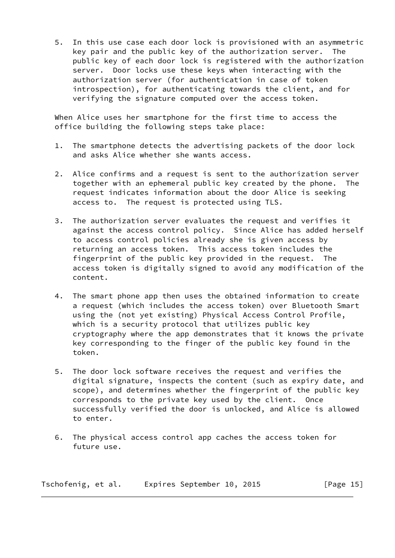5. In this use case each door lock is provisioned with an asymmetric key pair and the public key of the authorization server. The public key of each door lock is registered with the authorization server. Door locks use these keys when interacting with the authorization server (for authentication in case of token introspection), for authenticating towards the client, and for verifying the signature computed over the access token.

 When Alice uses her smartphone for the first time to access the office building the following steps take place:

- 1. The smartphone detects the advertising packets of the door lock and asks Alice whether she wants access.
- 2. Alice confirms and a request is sent to the authorization server together with an ephemeral public key created by the phone. The request indicates information about the door Alice is seeking access to. The request is protected using TLS.
- 3. The authorization server evaluates the request and verifies it against the access control policy. Since Alice has added herself to access control policies already she is given access by returning an access token. This access token includes the fingerprint of the public key provided in the request. The access token is digitally signed to avoid any modification of the content.
- 4. The smart phone app then uses the obtained information to create a request (which includes the access token) over Bluetooth Smart using the (not yet existing) Physical Access Control Profile, which is a security protocol that utilizes public key cryptography where the app demonstrates that it knows the private key corresponding to the finger of the public key found in the token.
- 5. The door lock software receives the request and verifies the digital signature, inspects the content (such as expiry date, and scope), and determines whether the fingerprint of the public key corresponds to the private key used by the client. Once successfully verified the door is unlocked, and Alice is allowed to enter.
- 6. The physical access control app caches the access token for future use.

Tschofenig, et al. Expires September 10, 2015 [Page 15]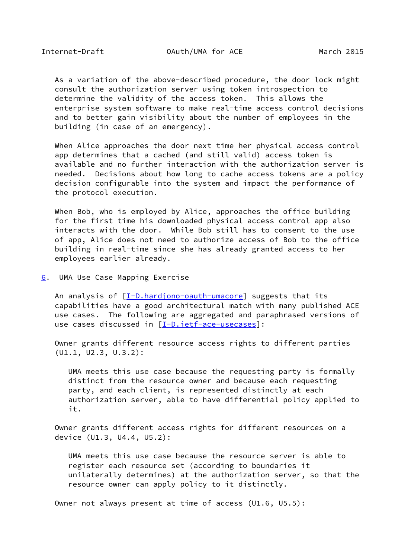<span id="page-17-1"></span> As a variation of the above-described procedure, the door lock might consult the authorization server using token introspection to determine the validity of the access token. This allows the enterprise system software to make real-time access control decisions and to better gain visibility about the number of employees in the building (in case of an emergency).

 When Alice approaches the door next time her physical access control app determines that a cached (and still valid) access token is available and no further interaction with the authorization server is needed. Decisions about how long to cache access tokens are a policy decision configurable into the system and impact the performance of the protocol execution.

When Bob, who is employed by Alice, approaches the office building for the first time his downloaded physical access control app also interacts with the door. While Bob still has to consent to the use of app, Alice does not need to authorize access of Bob to the office building in real-time since she has already granted access to her employees earlier already.

<span id="page-17-0"></span>[6](#page-17-0). UMA Use Case Mapping Exercise

An analysis of  $[I-D.hardjono-auth-umacore]$  suggests that its capabilities have a good architectural match with many published ACE use cases. The following are aggregated and paraphrased versions of use cases discussed in [\[I-D.ietf-ace-usecases](#page-23-0)]:

 Owner grants different resource access rights to different parties (U1.1, U2.3, U.3.2):

 UMA meets this use case because the requesting party is formally distinct from the resource owner and because each requesting party, and each client, is represented distinctly at each authorization server, able to have differential policy applied to it.

 Owner grants different access rights for different resources on a device (U1.3, U4.4, U5.2):

 UMA meets this use case because the resource server is able to register each resource set (according to boundaries it unilaterally determines) at the authorization server, so that the resource owner can apply policy to it distinctly.

Owner not always present at time of access (U1.6, U5.5):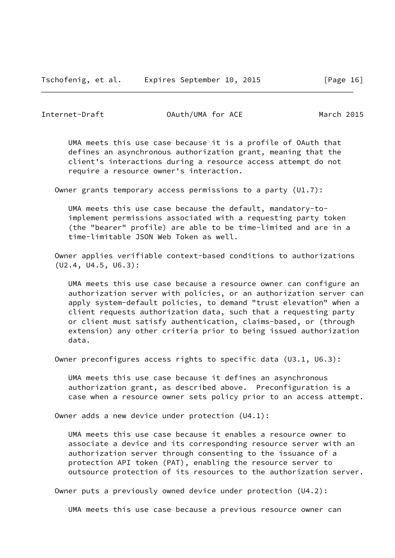Internet-Draft OAuth/UMA for ACE March 2015

 UMA meets this use case because it is a profile of OAuth that defines an asynchronous authorization grant, meaning that the client's interactions during a resource access attempt do not require a resource owner's interaction.

Owner grants temporary access permissions to a party (U1.7):

 UMA meets this use case because the default, mandatory-to implement permissions associated with a requesting party token (the "bearer" profile) are able to be time-limited and are in a time-limitable JSON Web Token as well.

 Owner applies verifiable context-based conditions to authorizations (U2.4, U4.5, U6.3):

 UMA meets this use case because a resource owner can configure an authorization server with policies, or an authorization server can apply system-default policies, to demand "trust elevation" when a client requests authorization data, such that a requesting party or client must satisfy authentication, claims-based, or (through extension) any other criteria prior to being issued authorization data.

Owner preconfigures access rights to specific data (U3.1, U6.3):

 UMA meets this use case because it defines an asynchronous authorization grant, as described above. Preconfiguration is a case when a resource owner sets policy prior to an access attempt.

Owner adds a new device under protection (U4.1):

 UMA meets this use case because it enables a resource owner to associate a device and its corresponding resource server with an authorization server through consenting to the issuance of a protection API token (PAT), enabling the resource server to outsource protection of its resources to the authorization server.

Owner puts a previously owned device under protection (U4.2):

UMA meets this use case because a previous resource owner can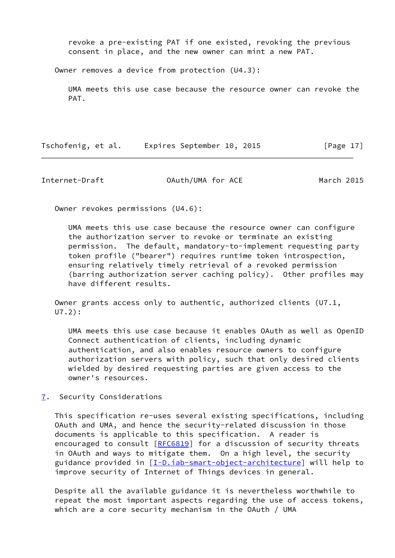revoke a pre-existing PAT if one existed, revoking the previous consent in place, and the new owner can mint a new PAT.

Owner removes a device from protection (U4.3):

 UMA meets this use case because the resource owner can revoke the PAT.

Tschofenig, et al. Expires September 10, 2015 [Page 17]

<span id="page-19-1"></span>Internet-Draft OAuth/UMA for ACE March 2015

Owner revokes permissions (U4.6):

 UMA meets this use case because the resource owner can configure the authorization server to revoke or terminate an existing permission. The default, mandatory-to-implement requesting party token profile ("bearer") requires runtime token introspection, ensuring relatively timely retrieval of a revoked permission (barring authorization server caching policy). Other profiles may have different results.

 Owner grants access only to authentic, authorized clients (U7.1, U7.2):

 UMA meets this use case because it enables OAuth as well as OpenID Connect authentication of clients, including dynamic authentication, and also enables resource owners to configure authorization servers with policy, such that only desired clients wielded by desired requesting parties are given access to the owner's resources.

<span id="page-19-0"></span>[7](#page-19-0). Security Considerations

 This specification re-uses several existing specifications, including OAuth and UMA, and hence the security-related discussion in those documents is applicable to this specification. A reader is encouraged to consult [[RFC6819](https://datatracker.ietf.org/doc/pdf/rfc6819)] for a discussion of security threats in OAuth and ways to mitigate them. On a high level, the security guidance provided in [\[I-D.iab-smart-object-architecture\]](#page-23-1) will help to improve security of Internet of Things devices in general.

 Despite all the available guidance it is nevertheless worthwhile to repeat the most important aspects regarding the use of access tokens, which are a core security mechanism in the OAuth / UMA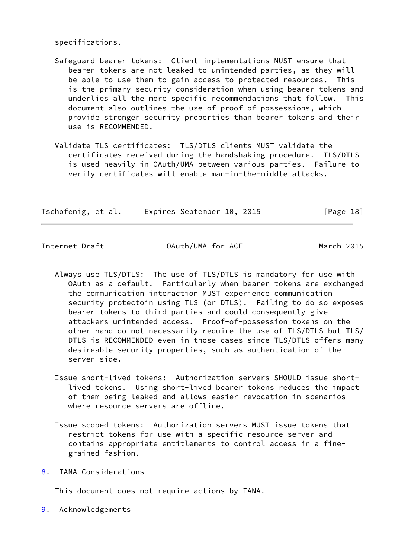specifications.

- Safeguard bearer tokens: Client implementations MUST ensure that bearer tokens are not leaked to unintended parties, as they will be able to use them to gain access to protected resources. This is the primary security consideration when using bearer tokens and underlies all the more specific recommendations that follow. This document also outlines the use of proof-of-possessions, which provide stronger security properties than bearer tokens and their use is RECOMMENDED.
- Validate TLS certificates: TLS/DTLS clients MUST validate the certificates received during the handshaking procedure. TLS/DTLS is used heavily in OAuth/UMA between various parties. Failure to verify certificates will enable man-in-the-middle attacks.

| Tschofenig, et al. | Expires September 10, 2015 |  | [Page 18] |
|--------------------|----------------------------|--|-----------|
|--------------------|----------------------------|--|-----------|

<span id="page-20-1"></span>

Internet-Draft OAuth/UMA for ACE March 2015

- Always use TLS/DTLS: The use of TLS/DTLS is mandatory for use with OAuth as a default. Particularly when bearer tokens are exchanged the communication interaction MUST experience communication security protectoin using TLS (or DTLS). Failing to do so exposes bearer tokens to third parties and could consequently give attackers unintended access. Proof-of-possession tokens on the other hand do not necessarily require the use of TLS/DTLS but TLS/ DTLS is RECOMMENDED even in those cases since TLS/DTLS offers many desireable security properties, such as authentication of the server side.
- Issue short-lived tokens: Authorization servers SHOULD issue short lived tokens. Using short-lived bearer tokens reduces the impact of them being leaked and allows easier revocation in scenarios where resource servers are offline.
- Issue scoped tokens: Authorization servers MUST issue tokens that restrict tokens for use with a specific resource server and contains appropriate entitlements to control access in a fine grained fashion.
- <span id="page-20-0"></span>[8](#page-20-0). IANA Considerations

This document does not require actions by IANA.

<span id="page-20-2"></span>[9](#page-20-2). Acknowledgements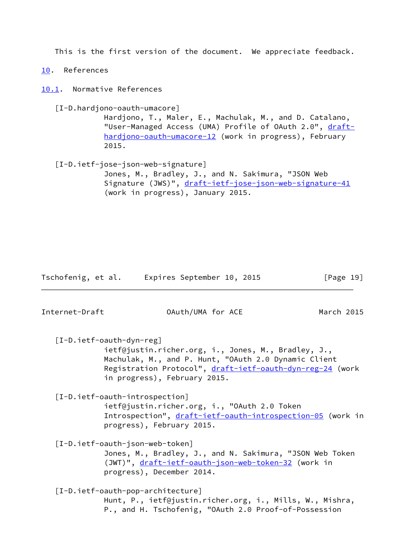This is the first version of the document. We appreciate feedback.

<span id="page-21-0"></span>[10.](#page-21-0) References

<span id="page-21-1"></span>[10.1](#page-21-1). Normative References

<span id="page-21-2"></span>[I-D.hardjono-oauth-umacore]

 Hardjono, T., Maler, E., Machulak, M., and D. Catalano, "User-Managed Access (UMA) Profile of OAuth 2.0", [draft](https://datatracker.ietf.org/doc/pdf/draft-hardjono-oauth-umacore-12) [hardjono-oauth-umacore-12](https://datatracker.ietf.org/doc/pdf/draft-hardjono-oauth-umacore-12) (work in progress), February 2015.

<span id="page-21-7"></span> [I-D.ietf-jose-json-web-signature] Jones, M., Bradley, J., and N. Sakimura, "JSON Web Signature (JWS)", [draft-ietf-jose-json-web-signature-41](https://datatracker.ietf.org/doc/pdf/draft-ietf-jose-json-web-signature-41) (work in progress), January 2015.

Tschofenig, et al. Expires September 10, 2015 [Page 19]

<span id="page-21-5"></span><span id="page-21-4"></span>Internet-Draft OAuth/UMA for ACE March 2015 [I-D.ietf-oauth-dyn-reg] ietf@justin.richer.org, i., Jones, M., Bradley, J., Machulak, M., and P. Hunt, "OAuth 2.0 Dynamic Client Registration Protocol", [draft-ietf-oauth-dyn-reg-24](https://datatracker.ietf.org/doc/pdf/draft-ietf-oauth-dyn-reg-24) (work in progress), February 2015. [I-D.ietf-oauth-introspection] ietf@justin.richer.org, i., "OAuth 2.0 Token Introspection", [draft-ietf-oauth-introspection-05](https://datatracker.ietf.org/doc/pdf/draft-ietf-oauth-introspection-05) (work in progress), February 2015. [I-D.ietf-oauth-json-web-token] Jones, M., Bradley, J., and N. Sakimura, "JSON Web Token (JWT)", [draft-ietf-oauth-json-web-token-32](https://datatracker.ietf.org/doc/pdf/draft-ietf-oauth-json-web-token-32) (work in progress), December 2014. [I-D.ietf-oauth-pop-architecture] Hunt, P., ietf@justin.richer.org, i., Mills, W., Mishra,

<span id="page-21-6"></span><span id="page-21-3"></span>P., and H. Tschofenig, "OAuth 2.0 Proof-of-Possession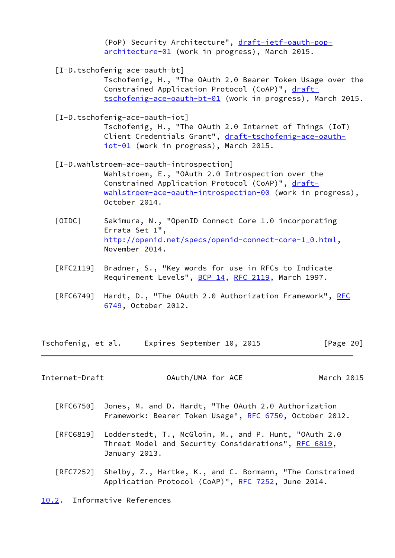(PoP) Security Architecture", [draft-ietf-oauth-pop](https://datatracker.ietf.org/doc/pdf/draft-ietf-oauth-pop-architecture-01) [architecture-01](https://datatracker.ietf.org/doc/pdf/draft-ietf-oauth-pop-architecture-01) (work in progress), March 2015.

<span id="page-22-5"></span>[I-D.tschofenig-ace-oauth-bt]

 Tschofenig, H., "The OAuth 2.0 Bearer Token Usage over the Constrained Application Protocol (CoAP)", [draft](https://datatracker.ietf.org/doc/pdf/draft-tschofenig-ace-oauth-bt-01) [tschofenig-ace-oauth-bt-01](https://datatracker.ietf.org/doc/pdf/draft-tschofenig-ace-oauth-bt-01) (work in progress), March 2015.

<span id="page-22-3"></span>[I-D.tschofenig-ace-oauth-iot]

 Tschofenig, H., "The OAuth 2.0 Internet of Things (IoT) Client Credentials Grant", [draft-tschofenig-ace-oauth](https://datatracker.ietf.org/doc/pdf/draft-tschofenig-ace-oauth-iot-01) [iot-01](https://datatracker.ietf.org/doc/pdf/draft-tschofenig-ace-oauth-iot-01) (work in progress), March 2015.

- <span id="page-22-4"></span> [I-D.wahlstroem-ace-oauth-introspection] Wahlstroem, E., "OAuth 2.0 Introspection over the Constrained Application Protocol (CoAP)", [draft](https://datatracker.ietf.org/doc/pdf/draft-wahlstroem-ace-oauth-introspection-00) [wahlstroem-ace-oauth-introspection-00](https://datatracker.ietf.org/doc/pdf/draft-wahlstroem-ace-oauth-introspection-00) (work in progress), October 2014.
- <span id="page-22-2"></span> [OIDC] Sakimura, N., "OpenID Connect Core 1.0 incorporating Errata Set 1", [http://openid.net/specs/openid-connect-core-1\\_0.html,](http://openid.net/specs/openid-connect-core-1_0.html) November 2014.
- [RFC2119] Bradner, S., "Key words for use in RFCs to Indicate Requirement Levels", [BCP 14](https://datatracker.ietf.org/doc/pdf/bcp14), [RFC 2119](https://datatracker.ietf.org/doc/pdf/rfc2119), March 1997.
- [[RFC](https://datatracker.ietf.org/doc/pdf/rfc6749)6749] Hardt, D., "The OAuth 2.0 Authorization Framework", RFC [6749,](https://datatracker.ietf.org/doc/pdf/rfc6749) October 2012.

Tschofenig, et al. Expires September 10, 2015 [Page 20]

<span id="page-22-1"></span>Internet-Draft OAuth/UMA for ACE March 2015

- [RFC6750] Jones, M. and D. Hardt, "The OAuth 2.0 Authorization Framework: Bearer Token Usage", [RFC 6750,](https://datatracker.ietf.org/doc/pdf/rfc6750) October 2012.
- [RFC6819] Lodderstedt, T., McGloin, M., and P. Hunt, "OAuth 2.0 Threat Model and Security Considerations", [RFC 6819](https://datatracker.ietf.org/doc/pdf/rfc6819), January 2013.
- [RFC7252] Shelby, Z., Hartke, K., and C. Bormann, "The Constrained Application Protocol (CoAP)", [RFC 7252](https://datatracker.ietf.org/doc/pdf/rfc7252), June 2014.

<span id="page-22-0"></span>[10.2](#page-22-0). Informative References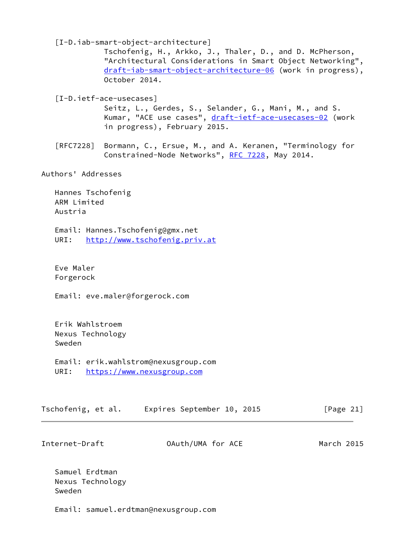<span id="page-23-1"></span>[I-D.iab-smart-object-architecture]

 Tschofenig, H., Arkko, J., Thaler, D., and D. McPherson, "Architectural Considerations in Smart Object Networking", [draft-iab-smart-object-architecture-06](https://datatracker.ietf.org/doc/pdf/draft-iab-smart-object-architecture-06) (work in progress), October 2014.

<span id="page-23-0"></span>[I-D.ietf-ace-usecases]

 Seitz, L., Gerdes, S., Selander, G., Mani, M., and S. Kumar, "ACE use cases", [draft-ietf-ace-usecases-02](https://datatracker.ietf.org/doc/pdf/draft-ietf-ace-usecases-02) (work in progress), February 2015.

 [RFC7228] Bormann, C., Ersue, M., and A. Keranen, "Terminology for Constrained-Node Networks", [RFC 7228,](https://datatracker.ietf.org/doc/pdf/rfc7228) May 2014.

Authors' Addresses

 Hannes Tschofenig ARM Limited Austria

 Email: Hannes.Tschofenig@gmx.net URI: <http://www.tschofenig.priv.at>

 Eve Maler Forgerock

Email: eve.maler@forgerock.com

 Erik Wahlstroem Nexus Technology Sweden

 Email: erik.wahlstrom@nexusgroup.com URI: <https://www.nexusgroup.com>

| Tschofenig, et al. | Expires September 10, 2015 |  | [Page 21] |
|--------------------|----------------------------|--|-----------|
|--------------------|----------------------------|--|-----------|

Internet-Draft OAuth/UMA for ACE March 2015

 Samuel Erdtman Nexus Technology Sweden

Email: samuel.erdtman@nexusgroup.com